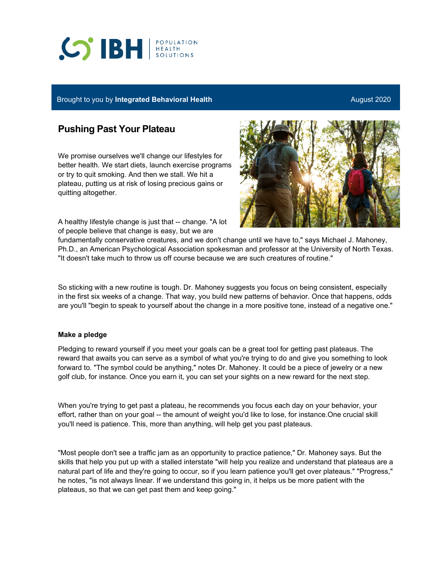# **CO'IBH REALTH**

## Brought to you by Integrated Behavioral Health **August 2020** August 2020

# **Pushing Past Your Plateau**

We promise ourselves we'll change our lifestyles for better health. We start diets, launch exercise programs or try to quit smoking. And then we stall. We hit a plateau, putting us at risk of losing precious gains or quitting altogether.

A healthy lifestyle change is just that -- change. "A lot of people believe that change is easy, but we are



fundamentally conservative creatures, and we don't change until we have to," says Michael J. Mahoney, Ph.D., an American Psychological Association spokesman and professor at the University of North Texas. "It doesn't take much to throw us off course because we are such creatures of routine."

So sticking with a new routine is tough. Dr. Mahoney suggests you focus on being consistent, especially in the first six weeks of a change. That way, you build new patterns of behavior. Once that happens, odds are you'll "begin to speak to yourself about the change in a more positive tone, instead of a negative one."

### **Make a pledge**

Pledging to reward yourself if you meet your goals can be a great tool for getting past plateaus. The reward that awaits you can serve as a symbol of what you're trying to do and give you something to look forward to. "The symbol could be anything," notes Dr. Mahoney. It could be a piece of jewelry or a new golf club, for instance. Once you earn it, you can set your sights on a new reward for the next step.

When you're trying to get past a plateau, he recommends you focus each day on your behavior, your effort, rather than on your goal -- the amount of weight you'd like to lose, for instance.One crucial skill you'll need is patience. This, more than anything, will help get you past plateaus.

"Most people don't see a traffic jam as an opportunity to practice patience," Dr. Mahoney says. But the skills that help you put up with a stalled interstate "will help you realize and understand that plateaus are a natural part of life and they're going to occur, so if you learn patience you'll get over plateaus." "Progress," he notes, "is not always linear. If we understand this going in, it helps us be more patient with the plateaus, so that we can get past them and keep going."